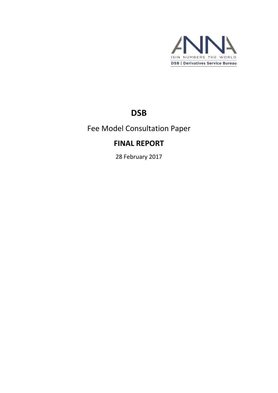

# **DSB**

Fee Model Consultation Paper

## **FINAL REPORT**

28 February 2017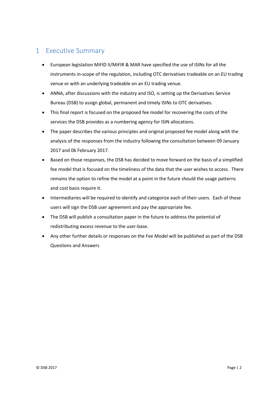## <span id="page-1-0"></span>1 Executive Summary

- European legislation MiFID II/MiFIR & MAR have specified the use of ISINs for all the instruments in-scope of the regulation, including OTC derivatives tradeable on an EU trading venue or with an underlying tradeable on an EU trading venue.
- ANNA, after discussions with the industry and ISO, is setting up the Derivatives Service Bureau (DSB) to assign global, permanent and timely ISINs to OTC derivatives.
- This final report is focused on the proposed fee model for recovering the costs of the services the DSB provides as a numbering agency for ISIN allocations.
- The paper describes the various principles and original proposed fee model along with the analysis of the responses from the industry following the consultation between 09 January 2017 and 06 February 2017.
- Based on those responses, the DSB has decided to move forward on the basis of a simplified fee model that is focused on the timeliness of the data that the user wishes to access. There remains the option to refine the model at a point in the future should the usage patterns and cost basis require it.
- Intermediaries will be required to identify and categorize each of their users. Each of those users will sign the DSB user agreement and pay the appropriate fee.
- The DSB will publish a consultation paper in the future to address the potential of redistributing excess revenue to the user-base.
- Any other further details or responses on the Fee Model will be published as part of the DSB Questions and Answers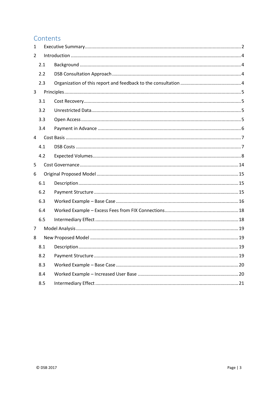## Contents

| 1 |     |  |  |  |
|---|-----|--|--|--|
| 2 |     |  |  |  |
|   | 2.1 |  |  |  |
|   | 2.2 |  |  |  |
|   | 2.3 |  |  |  |
| 3 |     |  |  |  |
|   | 3.1 |  |  |  |
|   | 3.2 |  |  |  |
|   | 3.3 |  |  |  |
|   | 3.4 |  |  |  |
| 4 |     |  |  |  |
|   | 4.1 |  |  |  |
|   | 4.2 |  |  |  |
| 5 |     |  |  |  |
| 6 |     |  |  |  |
|   | 6.1 |  |  |  |
|   | 6.2 |  |  |  |
|   | 6.3 |  |  |  |
|   | 6.4 |  |  |  |
|   | 6.5 |  |  |  |
| 7 |     |  |  |  |
| 8 |     |  |  |  |
|   | 8.1 |  |  |  |
|   | 8.2 |  |  |  |
|   | 8.3 |  |  |  |
|   | 8.4 |  |  |  |
|   | 8.5 |  |  |  |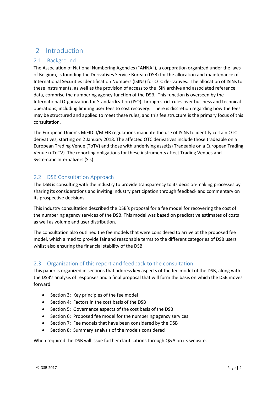## <span id="page-3-0"></span>2 Introduction

## <span id="page-3-1"></span>2.1 Background

The Association of National Numbering Agencies ("ANNA"), a corporation organized under the laws of Belgium, is founding the Derivatives Service Bureau (DSB) for the allocation and maintenance of International Securities Identification Numbers (ISINs) for OTC derivatives. The allocation of ISINs to these instruments, as well as the provision of access to the ISIN archive and associated reference data, comprise the numbering agency function of the DSB. This function is overseen by the International Organization for Standardization (ISO) through strict rules over business and technical operations, including limiting user fees to cost recovery. There is discretion regarding how the fees may be structured and applied to meet these rules, and this fee structure is the primary focus of this consultation.

The European Union's MiFID II/MiFIR regulations mandate the use of ISINs to identify certain OTC derivatives, starting on 2 January 2018. The affected OTC derivatives include those tradeable on a European Trading Venue (ToTV) and those with underlying asset(s) Tradeable on a European Trading Venue (uToTV). The reporting obligations for these instruments affect Trading Venues and Systematic Internalizers (SIs).

## <span id="page-3-2"></span>2.2 DSB Consultation Approach

The DSB is consulting with the industry to provide transparency to its decision-making processes by sharing its considerations and inviting industry participation through feedback and commentary on its prospective decisions.

This industry consultation described the DSB's proposal for a fee model for recovering the cost of the numbering agency services of the DSB. This model was based on predicative estimates of costs as well as volume and user distribution.

The consultation also outlined the fee models that were considered to arrive at the proposed fee model, which aimed to provide fair and reasonable terms to the different categories of DSB users whilst also ensuring the financial stability of the DSB.

## <span id="page-3-3"></span>2.3 Organization of this report and feedback to the consultation

This paper is organized in sections that address key aspects of the fee model of the DSB, along with the DSB's analysis of responses and a final proposal that will form the basis on which the DSB moves forward:

- Section 3: Key principles of the fee model
- Section 4: Factors in the cost basis of the DSB
- Section 5: Governance aspects of the cost basis of the DSB
- Section 6: Proposed fee model for the numbering agency services
- Section 7: Fee models that have been considered by the DSB
- Section 8: Summary analysis of the models considered

When required the DSB will issue further clarifications through Q&A on its website.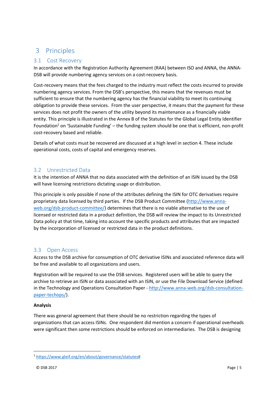## <span id="page-4-0"></span>3 Principles

## <span id="page-4-1"></span>3.1 Cost Recovery

In accordance with the Registration Authority Agreement (RAA) between ISO and ANNA, the ANNA-DSB will provide numbering agency services on a cost-recovery basis.

Cost-recovery means that the fees charged to the industry must reflect the costs incurred to provide numbering agency services. From the DSB's perspective, this means that the revenues must be sufficient to ensure that the numbering agency has the financial viability to meet its continuing obligation to provide these services. From the user perspective, it means that the payment for these services does not profit the owners of the utility beyond its maintenance as a financially viable entity. This principle is illustrated in the Annex B of the Statutes for the Global Legal Entity Identifier Foundation<sup>1</sup> on 'Sustainable Funding' – the funding system should be one that is efficient, non-profit cost-recovery based and reliable.

Details of what costs must be recovered are discussed at a high level in section 4. These include operational costs, costs of capital and emergency reserves.

## <span id="page-4-2"></span>3.2 Unrestricted Data

It is the intention of ANNA that no data associated with the definition of an ISIN issued by the DSB will have licensing restrictions dictating usage or distribution.

This principle is only possible if none of the attributes defining the ISIN for OTC derivatives require proprietary data licensed by third parties. If the DSB Product Committee [\(http://www.anna](http://www.anna-web.org/dsb-product-committee/)[web.org/dsb-product-committee/\)](http://www.anna-web.org/dsb-product-committee/) determines that there is no viable alternative to the use of licensed or restricted data in a product definition, the DSB will review the impact to its Unrestricted Data policy at that time, taking into account the specific products and attributes that are impacted by the incorporation of licensed or restricted data in the product definitions.

## <span id="page-4-3"></span>3.3 Open Access

Access to the DSB archive for consumption of OTC derivative ISINs and associated reference data will be free and available to all organizations and users.

Registration will be required to use the DSB services. Registered users will be able to query the archive to retrieve an ISIN or data associated with an ISIN, or use the File Download Service (defined in the Technology and Operations Consultation Paper - [http://www.anna-web.org/dsb-consultation](http://www.anna-web.org/dsb-consultation-paper-techops/)[paper-techops/\)](http://www.anna-web.org/dsb-consultation-paper-techops/).

#### **Analysis**

There was general agreement that there should be no restriction regarding the types of organizations that can access ISINs. One respondent did mention a concern if operational overheads were significant then some restrictions should be enforced on intermediaries. The DSB is designing

**.** 

<sup>1</sup> [https://www.gleif.org/en/about/governance/statutes#](https://www.gleif.org/en/about/governance/statutes)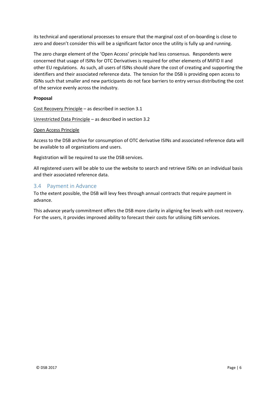its technical and operational processes to ensure that the marginal cost of on-boarding is close to zero and doesn't consider this will be a significant factor once the utility is fully up and running.

The zero charge element of the 'Open Access' principle had less consensus. Respondents were concerned that usage of ISINs for OTC Derivatives is required for other elements of MiFID II and other EU regulations. As such, all users of ISINs should share the cost of creating and supporting the identifiers and their associated reference data. The tension for the DSB is providing open access to ISINs such that smaller and new participants do not face barriers to entry versus distributing the cost of the service evenly across the industry.

#### **Proposal**

Cost Recovery Principle – as described in section 3.1

Unrestricted Data Principle – as described in section 3.2

#### Open Access Principle

Access to the DSB archive for consumption of OTC derivative ISINs and associated reference data will be available to all organizations and users.

Registration will be required to use the DSB services.

All registered users will be able to use the website to search and retrieve ISINs on an individual basis and their associated reference data.

#### <span id="page-5-0"></span>3.4 Payment in Advance

To the extent possible, the DSB will levy fees through annual contracts that require payment in advance.

This advance yearly commitment offers the DSB more clarity in aligning fee levels with cost recovery. For the users, it provides improved ability to forecast their costs for utilising ISIN services.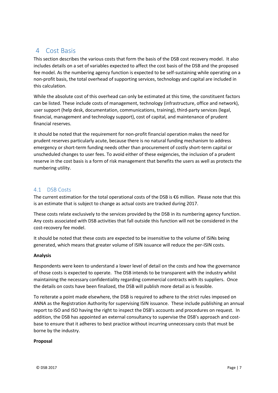## <span id="page-6-0"></span>4 Cost Basis

This section describes the various costs that form the basis of the DSB cost recovery model. It also includes details on a set of variables expected to affect the cost basis of the DSB and the proposed fee model. As the numbering agency function is expected to be self-sustaining while operating on a non-profit basis, the total overhead of supporting services, technology and capital are included in this calculation.

While the absolute cost of this overhead can only be estimated at this time, the constituent factors can be listed. These include costs of management, technology (infrastructure, office and network), user support (help desk, documentation, communications, training), third-party services (legal, financial, management and technology support), cost of capital, and maintenance of prudent financial reserves.

It should be noted that the requirement for non-profit financial operation makes the need for prudent reserves particularly acute, because there is no natural funding mechanism to address emergency or short-term funding needs other than procurement of costly short-term capital or unscheduled changes to user fees. To avoid either of these exigencies, the inclusion of a prudent reserve in the cost basis is a form of risk management that benefits the users as well as protects the numbering utility.

## <span id="page-6-1"></span>4.1 DSB Costs

The current estimation for the total operational costs of the DSB is €6 million. Please note that this is an estimate that is subject to change as actual costs are tracked during 2017.

These costs relate exclusively to the services provided by the DSB in its numbering agency function. Any costs associated with DSB activities that fall outside this function will not be considered in the cost-recovery fee model.

It should be noted that these costs are expected to be insensitive to the volume of ISINs being generated, which means that greater volume of ISIN issuance will reduce the per-ISIN costs.

#### **Analysis**

Respondents were keen to understand a lower level of detail on the costs and how the governance of those costs is expected to operate. The DSB intends to be transparent with the industry whilst maintaining the necessary confidentiality regarding commercial contracts with its suppliers. Once the details on costs have been finalized, the DSB will publish more detail as is feasible.

To reiterate a point made elsewhere, the DSB is required to adhere to the strict rules imposed on ANNA as the Registration Authority for supervising ISIN issuance. These include publishing an annual report to ISO and ISO having the right to inspect the DSB's accounts and procedures on request. In addition, the DSB has appointed an external consultancy to supervise the DSB's approach and costbase to ensure that it adheres to best practice without incurring unnecessary costs that must be borne by the industry.

#### **Proposal**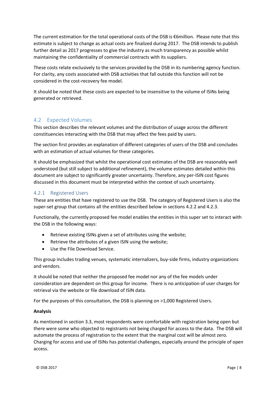The current estimation for the total operational costs of the DSB is €6million. Please note that this estimate is subject to change as actual costs are finalized during 2017. The DSB intends to publish further detail as 2017 progresses to give the industry as much transparency as possible whilst maintaining the confidentiality of commercial contracts with its suppliers.

These costs relate exclusively to the services provided by the DSB in its numbering agency function. For clarity, any costs associated with DSB activities that fall outside this function will not be considered in the cost-recovery fee model.

It should be noted that these costs are expected to be insensitive to the volume of ISINs being generated or retrieved.

## <span id="page-7-0"></span>4.2 Expected Volumes

This section describes the relevant volumes and the distribution of usage across the different constituencies interacting with the DSB that may affect the fees paid by users.

The section first provides an explanation of different categories of users of the DSB and concludes with an estimation of actual volumes for these categories.

It should be emphasized that whilst the operational cost estimates of the DSB are reasonably well understood (but still subject to additional refinement), the volume estimates detailed within this document are subject to significantly greater uncertainty. Therefore, any per-ISIN cost figures discussed in this document must be interpreted within the context of such uncertainty.

#### 4.2.1 Registered Users

These are entities that have registered to use the DSB. The category of Registered Users is also the super-set group that contains all the entities described below in sections 4.2.2 and 4.2.3.

Functionally, the currently proposed fee model enables the entities in this super set to interact with the DSB in the following ways:

- Retrieve existing ISINs given a set of attributes using the website;
- Retrieve the attributes of a given ISIN using the website;
- Use the File Download Service.

This group includes trading venues, systematic internalizers, buy-side firms, industry organizations and vendors.

It should be noted that neither the proposed fee model nor any of the fee models under consideration are dependent on this group for income. There is no anticipation of user charges for retrieval via the website or file download of ISIN data.

For the purposes of this consultation, the DSB is planning on >1,000 Registered Users.

#### **Analysis**

As mentioned in section 3.3, most respondents were comfortable with registration being open but there were some who objected to registrants not being charged for access to the data. The DSB will automate the process of registration to the extent that the marginal cost will be almost zero. Charging for access and use of ISINs has potential challenges, especially around the principle of open access.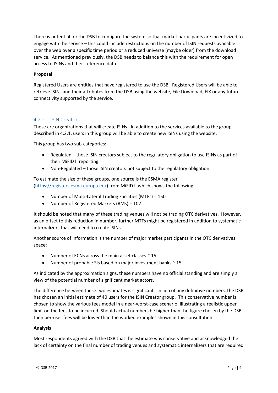There is potential for the DSB to configure the system so that market participants are incentivized to engage with the service – this could include restrictions on the number of ISIN requests available over the web over a specific time period or a reduced universe (maybe older) from the download service. As mentioned previously, the DSB needs to balance this with the requirement for open access to ISINs and their reference data.

#### **Proposal**

Registered Users are entities that have registered to use the DSB. Registered Users will be able to retrieve ISINs and their attributes from the DSB using the website, File Download, FIX or any future connectivity supported by the service.

#### 4.2.2 ISIN Creators

These are organizations that will create ISINs. In addition to the services available to the group described in 4.2.1, users in this group will be able to create new ISINs using the website.

This group has two sub-categories:

- Regulated those ISIN creators subject to the regulatory obligation to use ISINs as part of their MiFID II reporting
- Non-Regulated those ISIN creators not subject to the regulatory obligation

To estimate the size of these groups, one source is the ESMA register [\(https://registers.esma.europa.eu/\)](https://registers.esma.europa.eu/) from MiFID I, which shows the following:

- Number of Multi-Lateral Trading Facilities (MTFs) = 150
- Number of Registered Markets (RMs) = 102

It should be noted that many of these trading venues will not be trading OTC derivatives. However, as an offset to this reduction in number, further MTFs might be registered in addition to systematic internalizers that will need to create ISINs.

Another source of information is the number of major market participants in the OTC derivatives space:

- Number of ECNs across the main asset classes  $\approx$  15
- Number of probable SIs based on major investment banks  $\sim$  15

As indicated by the approximation signs, these numbers have no official standing and are simply a view of the potential number of significant market actors.

The difference between these two estimates is significant. In lieu of any definitive numbers, the DSB has chosen an initial estimate of 40 users for the ISIN Creator group. This conservative number is chosen to show the various fees model in a near-worst-case scenario, illustrating a realistic upper limit on the fees to be incurred. Should actual numbers be higher than the figure chosen by the DSB, then per-user fees will be lower than the worked examples shown in this consultation.

#### **Analysis**

Most respondents agreed with the DSB that the estimate was conservative and acknowledged the lack of certainty on the final number of trading venues and systematic internalizers that are required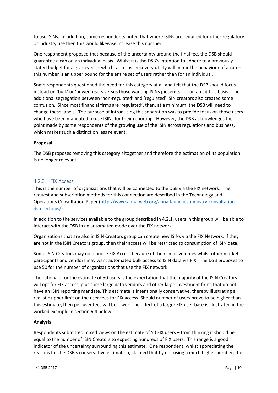to use ISINs. In addition, some respondents noted that where ISINs are required for other regulatory or industry use then this would likewise increase this number.

One respondent proposed that because of the uncertainty around the final fee, the DSB should guarantee a cap on an individual basis. Whilst it is the DSB's intention to adhere to a previously stated budget for a given year – which, as a cost-recovery utility will mimic the behaviour of a cap – this number is an upper bound for the entire set of users rather than for an individual.

Some respondents questioned the need for this category at all and felt that the DSB should focus instead on 'bulk' or 'power' users versus those wanting ISINs piecemeal or on an ad-hoc basis. The additional segregation between 'non-regulated' and 'regulated' ISIN creators also created some confusion. Since most financial firms are 'regulated', then, at a minimum, the DSB will need to change these labels. The purpose of introducing this separation was to provide focus on those users who have been mandated to use ISINs for their reporting. However, the DSB acknowledges the point made by some respondents of the growing use of the ISIN across regulations and business, which makes such a distinction less relevant.

#### **Proposal**

The DSB proposes removing this category altogether and therefore the estimation of its population is no longer relevant.

#### 4.2.3 FIX Access

This is the number of organizations that will be connected to the DSB via the FIX network. The request and subscription methods for this connection are described in the Technology and Operations Consultation Paper [\(http://www.anna-web.org/anna-launches-industry-consultation](http://www.anna-web.org/anna-launches-industry-consultation-dsb-techops/)[dsb-techops/\)](http://www.anna-web.org/anna-launches-industry-consultation-dsb-techops/).

In addition to the services available to the group described in 4.2.1, users in this group will be able to interact with the DSB in an automated mode over the FIX network.

Organizations that are also in ISIN Creators group can create new ISINs via the FIX Network. If they are not in the ISIN Creators group, then their access will be restricted to consumption of ISIN data.

Some ISIN Creators may not choose FIX Access because of their small volumes whilst other market participants and vendors may want automated bulk access to ISIN data via FIX. The DSB proposes to use 50 for the number of organizations that use the FIX network.

The rationale for the estimate of 50 users is the expectation that the majority of the ISIN Creators will opt for FIX access, plus some large data vendors and other large investment firms that do not have an ISIN reporting mandate. This estimate is intentionally conservative, thereby illustrating a realistic upper limit on the user fees for FIX access. Should number of users prove to be higher than this estimate, then per-user fees will be lower. The effect of a larger FIX user base is illustrated in the worked example in section 6.4 below.

#### **Analysis**

Respondents submitted mixed views on the estimate of 50 FIX users – from thinking it should be equal to the number of ISIN Creators to expecting hundreds of FIX users. This range is a good indicator of the uncertainty surrounding this estimate. One respondent, whilst appreciating the reasons for the DSB's conservative estimation, claimed that by not using a much higher number, the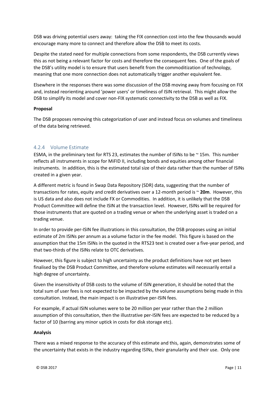DSB was driving potential users away: taking the FIX connection cost into the few thousands would encourage many more to connect and therefore allow the DSB to meet its costs.

Despite the stated need for multiple connections from some respondents, the DSB currently views this as not being a relevant factor for costs and therefore the consequent fees. One of the goals of the DSB's utility model is to ensure that users benefit from the commoditization of technology, meaning that one more connection does not automatically trigger another equivalent fee.

Elsewhere in the responses there was some discussion of the DSB moving away from focusing on FIX and, instead reorienting around 'power users' or timeliness of ISIN retrieval. This might allow the DSB to simplify its model and cover non-FIX systematic connectivity to the DSB as well as FIX.

#### **Proposal**

The DSB proposes removing this categorization of user and instead focus on volumes and timeliness of the data being retrieved.

#### 4.2.4 Volume Estimate

ESMA, in the preliminary text for RTS 23, estimates the number of ISINs to be  $\sim$  15m. This number reflects all instruments in scope for MiFID II, including bonds and equities among other financial instruments. In addition, this is the estimated total size of their data rather than the number of ISINs created in a given year.

A different metric is found in Swap Data Repository (SDR) data, suggesting that the number of transactions for rates, equity and credit derivatives over a 12-month period is ~ **20m**. However, this is US data and also does not include FX or Commodities. In addition, it is unlikely that the DSB Product Committee will define the ISIN at the transaction level. However, ISINs will be required for those instruments that are quoted on a trading venue or when the underlying asset is traded on a trading venue.

In order to provide per-ISIN fee illustrations in this consultation, the DSB proposes using an initial estimate of 2m ISINs per annum as a volume factor in the fee model. This figure is based on the assumption that the 15m ISINs in the quoted in the RTS23 text is created over a five-year period, and that two-thirds of the ISINs relate to OTC derivatives.

However, this figure is subject to high uncertainty as the product definitions have not yet been finalised by the DSB Product Committee, and therefore volume estimates will necessarily entail a high degree of uncertainty.

Given the insensitivity of DSB costs to the volume of ISIN generation, it should be noted that the total sum of user fees is not expected to be impacted by the volume assumptions being made in this consultation. Instead, the main impact is on illustrative per-ISIN fees.

For example, if actual ISIN volumes were to be 20 million per year rather than the 2 million assumption of this consultation, then the illustrative per-ISIN fees are expected to be reduced by a factor of 10 (barring any minor uptick in costs for disk storage etc).

#### **Analysis**

There was a mixed response to the accuracy of this estimate and this, again, demonstrates some of the uncertainty that exists in the industry regarding ISINs, their granularity and their use. Only one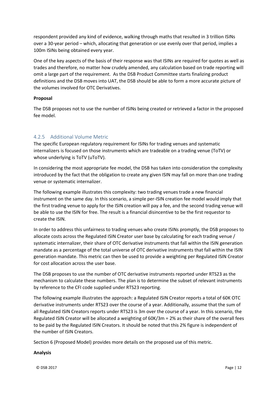respondent provided any kind of evidence, walking through maths that resulted in 3 trillion ISINs over a 30-year period – which, allocating that generation or use evenly over that period, implies a 100m ISINs being obtained every year.

One of the key aspects of the basis of their response was that ISINs are required for quotes as well as trades and therefore, no matter how crudely amended, any calculation based on trade reporting will omit a large part of the requirement. As the DSB Product Committee starts finalizing product definitions and the DSB moves into UAT, the DSB should be able to form a more accurate picture of the volumes involved for OTC Derivatives.

#### **Proposal**

The DSB proposes not to use the number of ISINs being created or retrieved a factor in the proposed fee model.

### 4.2.5 Additional Volume Metric

The specific European regulatory requirement for ISINs for trading venues and systematic internalizers is focused on those instruments which are tradeable on a trading venue (ToTV) or whose underlying is ToTV (uToTV).

In considering the most appropriate fee model, the DSB has taken into consideration the complexity introduced by the fact that the obligation to create any given ISIN may fall on more than one trading venue or systematic internalizer.

The following example illustrates this complexity: two trading venues trade a new financial instrument on the same day. In this scenario, a simple per-ISIN creation fee model would imply that the first trading venue to apply for the ISIN creation will pay a fee, and the second trading venue will be able to use the ISIN for free. The result is a financial disincentive to be the first requestor to create the ISIN.

In order to address this unfairness to trading venues who create ISINs promptly, the DSB proposes to allocate costs across the Regulated ISIN Creator user base by calculating for each trading venue / systematic internalizer, their share of OTC derivative instruments that fall within the ISIN generation mandate as a percentage of the total universe of OTC derivative instruments that fall within the ISIN generation mandate. This metric can then be used to provide a weighting per Regulated ISIN Creator for cost allocation across the user base.

The DSB proposes to use the number of OTC derivative instruments reported under RTS23 as the mechanism to calculate these numbers. The plan is to determine the subset of relevant instruments by reference to the CFI code supplied under RTS23 reporting.

The following example illustrates the approach: a Regulated ISIN Creator reports a total of 60K OTC derivative instruments under RTS23 over the course of a year. Additionally, assume that the sum of all Regulated ISIN Creators reports under RTS23 is 3m over the course of a year. In this scenario, the Regulated ISIN Creator will be allocated a weighting of 60K/3m = 2% as their share of the overall fees to be paid by the Regulated ISIN Creators. It should be noted that this 2% figure is independent of the number of ISIN Creators.

Section 6 (Proposed Model) provides more details on the proposed use of this metric.

#### **Analysis**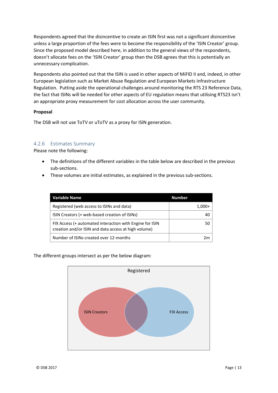Respondents agreed that the disincentive to create an ISIN first was not a significant disincentive unless a large proportion of the fees were to become the responsibility of the 'ISIN Creator' group. Since the proposed model described here, in addition to the general views of the respondents, doesn't allocate fees on the 'ISIN Creator' group then the DSB agrees that this is potentially an unnecessary complication.

Respondents also pointed out that the ISIN is used in other aspects of MiFID II and, indeed, in other European legislation such as Market Abuse Regulation and European Markets Infrastructure Regulation. Putting aside the operational challenges around monitoring the RTS 23 Reference Data, the fact that ISINs will be needed for other aspects of EU regulation means that utilising RTS23 isn't an appropriate proxy measurement for cost allocation across the user community.

#### **Proposal**

The DSB will not use ToTV or uToTV as a proxy for ISIN generation.

#### 4.2.6 Estimates Summary

Please note the following:

- The definitions of the different variables in the table below are described in the previous sub-sections.
- These volumes are initial estimates, as explained in the previous sub-sections.

| <b>Variable Name</b>                                                                                             | <b>Number</b> |
|------------------------------------------------------------------------------------------------------------------|---------------|
| Registered (web access to ISINs and data)                                                                        | 1.000+        |
| ISIN Creators (+ web-based creation of ISINs)                                                                    | 40            |
| FIX Access (+ automated interaction with Engine for ISIN<br>creation and/or ISIN and data access at high volume) | 50            |
| Number of ISINs created over 12-months                                                                           | 2m            |

The different groups intersect as per the below diagram:

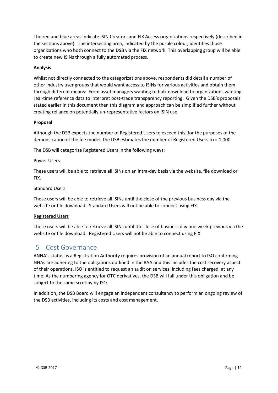The red and blue areas indicate ISIN Creators and FIX Access organizations respectively (described in the sections above). The intersecting area, indicated by the purple colour, identifies those organizations who both connect to the DSB via the FIX network. This overlapping group will be able to create new ISINs through a fully automated process.

#### **Analysis**

Whilst not directly connected to the categorizations above, respondents did detail a number of other industry user groups that would want access to ISINs for various activities and obtain them through different means: From asset managers wanting to bulk download to organizations wanting real-time reference data to interpret post-trade transparency reporting. Given the DSB's proposals stated earlier in this document then this diagram and approach can be simplified further without creating reliance on potentially un-representative factors on ISIN use.

#### **Proposal**

Although the DSB expects the number of Registered Users to exceed this, for the purposes of the demonstration of the fee model, the DSB estimates the number of Registered Users to = 1,000.

The DSB will categorize Registered Users in the following ways:

#### Power Users

These users will be able to retrieve all ISINs on an intra-day basis via the website, file download or FIX.

#### Standard Users

These users will be able to retrieve all ISINs until the close of the previous business day via the website or file download. Standard Users will not be able to connect using FIX.

#### Registered Users

These users will be able to retrieve all ISINs until the close of business day one week previous via the website or file download. Registered Users will not be able to connect using FIX.

## <span id="page-13-0"></span>5 Cost Governance

ANNA's status as a Registration Authority requires provision of an annual report to ISO confirming NNAs are adhering to the obligations outlined in the RAA and this includes the cost recovery aspect of their operations. ISO is entitled to request an audit on services, including fees charged, at any time. As the numbering agency for OTC derivatives, the DSB will fall under this obligation and be subject to the same scrutiny by ISO.

In addition, the DSB Board will engage an independent consultancy to perform an ongoing review of the DSB activities, including its costs and cost management.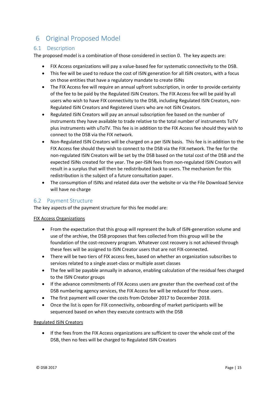## <span id="page-14-0"></span>6 Original Proposed Model

### <span id="page-14-1"></span>6.1 Description

The proposed model is a combination of those considered in sectio[n 0.](#page-20-1) The key aspects are:

- FIX Access organizations will pay a value-based fee for systematic connectivity to the DSB.
- This fee will be used to reduce the cost of ISIN generation for all ISIN creators, with a focus on those entities that have a regulatory mandate to create ISINs
- The FIX Access fee will require an annual upfront subscription, in order to provide certainty of the fee to be paid by the Regulated ISIN Creators. The FIX Access fee will be paid by all users who wish to have FIX connectivity to the DSB, including Regulated ISIN Creators, non-Regulated ISIN Creators and Registered Users who are not ISIN Creators.
- Regulated ISIN Creators will pay an annual subscription fee based on the number of instruments they have available to trade relative to the total number of instruments ToTV plus instruments with uToTV. This fee is in addition to the FIX Access fee should they wish to connect to the DSB via the FIX network.
- Non-Regulated ISIN Creators will be charged on a per ISIN basis. This fee is in addition to the FIX Access fee should they wish to connect to the DSB via the FIX network. The fee for the non-regulated ISIN Creators will be set by the DSB based on the total cost of the DSB and the expected ISINs created for the year. The per-ISIN fees from non-regulated ISIN Creators will result in a surplus that will then be redistributed back to users. The mechanism for this redistribution is the subject of a future consultation paper.
- The consumption of ISINs and related data over the website or via the File Download Service will have no charge

## <span id="page-14-2"></span>6.2 Payment Structure

The key aspects of the payment structure for this fee model are:

#### FIX Access Organizations

- From the expectation that this group will represent the bulk of ISIN-generation volume and use of the archive, the DSB proposes that fees collected from this group will be the foundation of the cost-recovery program. Whatever cost recovery is not achieved through these fees will be assigned to ISIN Creator users that are not FIX-connected.
- There will be two tiers of FIX access fees, based on whether an organization subscribes to services related to a single asset-class or multiple asset classes
- The fee will be payable annually in advance, enabling calculation of the residual fees charged to the ISIN Creator groups
- If the advance commitments of FIX Access users are greater than the overhead cost of the DSB numbering agency services, the FIX Access fee will be reduced for those users.
- The first payment will cover the costs from October 2017 to December 2018.
- Once the list is open for FIX connectivity, onboarding of market participants will be sequenced based on when they execute contracts with the DSB

#### Regulated ISIN Creators

 If the fees from the FIX Access organizations are sufficient to cover the whole cost of the DSB, then no fees will be charged to Regulated ISIN Creators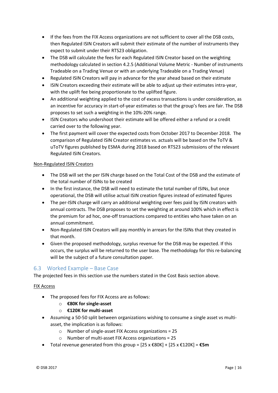- If the fees from the FIX Access organizations are not sufficient to cover all the DSB costs, then Regulated ISIN Creators will submit their estimate of the number of instruments they expect to submit under their RTS23 obligation.
- The DSB will calculate the fees for each Regulated ISIN Creator based on the weighting methodology calculated in section 4.2.5 (Additional Volume Metric - Number of instruments Tradeable on a Trading Venue or with an underlying Tradeable on a Trading Venue)
- Regulated ISIN Creators will pay in advance for the year ahead based on their estimate
- ISIN Creators exceeding their estimate will be able to adjust up their estimates intra-year, with the uplift fee being proportionate to the uplifted figure.
- An additional weighting applied to the cost of excess transactions is under consideration, as an incentive for accuracy in start-of-year estimates so that the group's fees are fair. The DSB proposes to set such a weighting in the 10%-20% range.
- ISIN Creators who undershoot their estimate will be offered either a refund or a credit carried over to the following year.
- The first payment will cover the expected costs from October 2017 to December 2018. The comparison of Regulated ISIN Creator estimates vs. actuals will be based on the ToTV & uToTV figures published by ESMA during 2018 based on RTS23 submissions of the relevant Regulated ISIN Creators.

#### Non-Regulated ISIN Creators

- The DSB will set the per ISIN charge based on the Total Cost of the DSB and the estimate of the total number of ISINs to be created
- In the first instance, the DSB will need to estimate the total number of ISINs, but once operational, the DSB will utilise actual ISIN creation figures instead of estimated figures
- The per-ISIN charge will carry an additional weighting over fees paid by ISIN creators with annual contracts. The DSB proposes to set the weighting at around 100% which in effect is the premium for ad hoc, one-off transactions compared to entities who have taken on an annual commitment.
- Non-Regulated ISIN Creators will pay monthly in arrears for the ISINs that they created in that month.
- Given the proposed methodology, surplus revenue for the DSB may be expected. If this occurs, the surplus will be returned to the user base. The methodology for this re-balancing will be the subject of a future consultation paper.

## <span id="page-15-0"></span>6.3 Worked Example – Base Case

The projected fees in this section use the numbers stated in the Cost Basis section above.

#### FIX Access

- The proposed fees for FIX Access are as follows:
	- o **€80K for single-asset**
	- o **€120K for multi-asset**
- Assuming a 50-50 split between organizations wishing to consume a single asset vs multiasset, the implication is as follows:
	- o Number of single-asset FIX Access organizations = 25
	- o Number of multi-asset FIX Access organizations = 25
- Total revenue generated from this group = [25 x €80K] + [25 x €120K] = **€5m**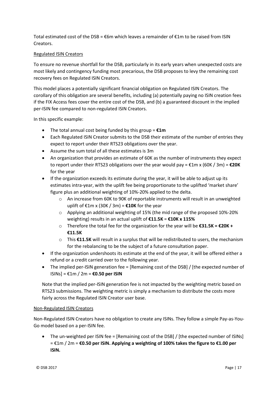Total estimated cost of the DSB = €6m which leaves a remainder of €1m to be raised from ISIN Creators.

#### Regulated ISIN Creators

To ensure no revenue shortfall for the DSB, particularly in its early years when unexpected costs are most likely and contingency funding most precarious, the DSB proposes to levy the remaining cost recovery fees on Regulated ISIN Creators.

This model places a potentially significant financial obligation on Regulated ISIN Creators. The corollary of this obligation are several benefits, including (a) potentially paying no ISIN creation fees if the FIX Access fees cover the entire cost of the DSB, and (b) a guaranteed discount in the implied per-ISIN fee compared to non-regulated ISIN Creators.

In this specific example:

- The total annual cost being funded by this group = **€1m**
- Each Regulated ISIN Creator submits to the DSB their estimate of the number of entries they expect to report under their RTS23 obligations over the year.
- Assume the sum total of all these estimates is 3m
- An organization that provides an estimate of 60K as the number of instruments they expect to report under their RTS23 obligations over the year would pay = €1m x (60K / 3m) = **€20K** for the year
- If the organization exceeds its estimate during the year, it will be able to adjust up its estimates intra-year, with the uplift fee being proportionate to the uplifted 'market share' figure plus an additional weighting of 10%-20% applied to the delta.
	- $\circ$  An increase from 60K to 90K of reportable instruments will result in an unweighted uplift of €1m x (30K / 3m) = **€10K** for the year
	- $\circ$  Applying an additional weighting of 15% (the mid range of the proposed 10%-20%) weighting) results in an actual uplift of **€11.5K** = **€10K x 115%**
	- o Therefore the total fee for the organization for the year will be **€31.5K = €20K + €11.5K**
	- o This **€11.5K** will result in a surplus that will be redistributed to users, the mechanism for the rebalancing to be the subject of a future consultation paper.
- If the organization undershoots its estimate at the end of the year, it will be offered either a refund or a credit carried over to the following year.
- The implied per-ISIN generation fee = [Remaining cost of the DSB] / [the expected number of ISINs] = €1m / 2m = **€0.50 per ISIN**

Note that the implied per-ISIN generation fee is not impacted by the weighting metric based on RTS23 submissions. The weighting metric is simply a mechanism to distribute the costs more fairly across the Regulated ISIN Creator user base.

#### Non-Regulated ISIN Creators

Non-Regulated ISIN Creators have no obligation to create any ISINs. They follow a simple Pay-as-You-Go model based on a per-ISIN fee.

 The un-weighted per ISIN fee = [Remaining cost of the DSB] / [the expected number of ISINs] = €1m / 2m = **€0.50 per ISIN. Applying a weighting of 100% takes the figure to €1.00 per ISIN.**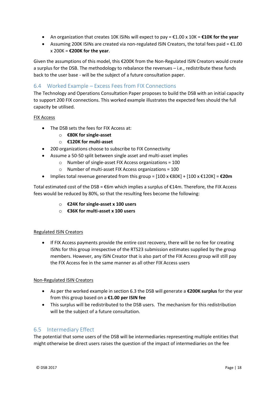- An organization that creates 10K ISINs will expect to pay = €1.00 x 10K = **€10K for the year**
- Assuming 200K ISINs are created via non-regulated ISIN Creators, the total fees paid =  $£1.00$ x 200K = **€200K for the year**.

Given the assumptions of this model, this €200K from the Non-Regulated ISIN Creators would create a surplus for the DSB. The methodology to rebalance the revenues – i.e., redistribute these funds back to the user base - will be the subject of a future consultation paper.

## <span id="page-17-0"></span>6.4 Worked Example – Excess Fees from FIX Connections

The Technology and Operations Consultation Paper proposes to build the DSB with an initial capacity to support 200 FIX connections. This worked example illustrates the expected fees should the full capacity be utilised.

#### FIX Access

- The DSB sets the fees for FIX Access at:
	- o **€80K for single-asset**
	- o **€120K for multi-asset**
- 200 organizations choose to subscribe to FIX Connectivity
- Assume a 50-50 split between single asset and multi-asset implies
	- o Number of single-asset FIX Access organizations = 100
	- o Number of multi-asset FIX Access organizations = 100
- Implies total revenue generated from this group = [100 x €80K] + [100 x €120K] = **€20m**

Total estimated cost of the DSB =  $€6m$  which implies a surplus of  $€14m$ . Therefore, the FIX Access fees would be reduced by 80%, so that the resulting fees become the following:

- o **€24K for single-asset x 100 users**
- o **€36K for multi-asset x 100 users**

#### Regulated ISIN Creators

• If FIX Access payments provide the entire cost recovery, there will be no fee for creating ISINs for this group irrespective of the RTS23 submission estimates supplied by the group members. However, any ISIN Creator that is also part of the FIX Access group will still pay the FIX Access fee in the same manner as all other FIX Access users

#### Non-Regulated ISIN Creators

- As per the worked example in section 6.3 the DSB will generate a **€200K surplus** for the year from this group based on a **€1.00 per ISIN fee**
- This surplus will be redistributed to the DSB users. The mechanism for this redistribution will be the subject of a future consultation.

#### <span id="page-17-1"></span>6.5 Intermediary Effect

The potential that some users of the DSB will be intermediaries representing multiple entities that might otherwise be direct users raises the question of the impact of intermediaries on the fee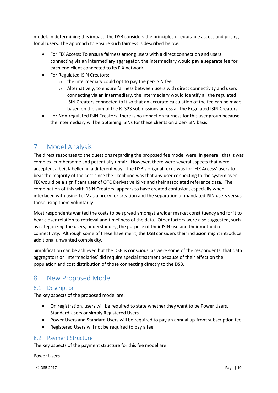model. In determining this impact, the DSB considers the principles of equitable access and pricing for all users. The approach to ensure such fairness is described below:

- For FIX Access: To ensure fairness among users with a direct connection and users connecting via an intermediary aggregator, the intermediary would pay a separate fee for each end client connected to its FIX network.
- For Regulated ISIN Creators:
	- o the intermediary could opt to pay the per-ISIN fee.
	- o Alternatively, to ensure fairness between users with direct connectivity and users connecting via an intermediary, the intermediary would identify all the regulated ISIN Creators connected to it so that an accurate calculation of the fee can be made based on the sum of the RTS23 submissions across all the Regulated ISIN Creators.
- For Non-regulated ISIN Creators: there is no impact on fairness for this user group because the intermediary will be obtaining ISINs for these clients on a per-ISIN basis.

## <span id="page-18-0"></span>7 Model Analysis

The direct responses to the questions regarding the proposed fee model were, in general, that it was complex, cumbersome and potentially unfair. However, there were several aspects that were accepted, albeit labelled in a different way. The DSB's original focus was for 'FIX Access' users to bear the majority of the cost since the likelihood was that any user connecting to the system over FIX would be a significant user of OTC Derivative ISINs and their associated reference data. The combination of this with 'ISIN Creators' appears to have created confusion, especially when interlaced with using ToTV as a proxy for creation and the separation of mandated ISIN users versus those using them voluntarily.

Most respondents wanted the costs to be spread amongst a wider market constituency and for it to bear closer relation to retrieval and timeliness of the data. Other factors were also suggested, such as categorizing the users, understanding the purpose of their ISIN use and their method of connectivity. Although some of these have merit, the DSB considers their inclusion might introduce additional unwanted complexity.

Simplification can be achieved but the DSB is conscious, as were some of the respondents, that data aggregators or 'intermediaries' did require special treatment because of their effect on the population and cost distribution of those connecting directly to the DSB.

## <span id="page-18-1"></span>8 New Proposed Model

## <span id="page-18-2"></span>8.1 Description

The key aspects of the proposed model are:

- On registration, users will be required to state whether they want to be Power Users, Standard Users or simply Registered Users
- Power Users and Standard Users will be required to pay an annual up-front subscription fee
- Registered Users will not be required to pay a fee

## <span id="page-18-3"></span>8.2 Payment Structure

The key aspects of the payment structure for this fee model are:

#### Power Users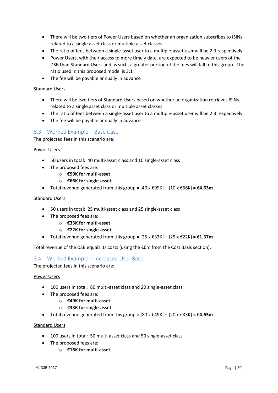- There will be two tiers of Power Users based on whether an organization subscribes to ISINs related to a single asset class or multiple asset classes
- The ratio of fees between a single-asset user to a multiple-asset user will be 2:3 respectively
- Power Users, with their access to more timely data, are expected to be heavier users of the DSB than Standard Users and as such, a greater portion of the fees will fall to this group. The ratio used in this proposed model is 3:1
- The fee will be payable annually in advance

#### Standard Users

- There will be two tiers of Standard Users based on whether an organization retrieves ISINs related to a single asset class or multiple asset classes
- The ratio of fees between a single-asset user to a multiple-asset user will be 2:3 respectively
- The fee will be payable annually in advance

#### <span id="page-19-0"></span>8.3 Worked Example – Base Case

The projected fees in this scenario are:

Power Users

- 50 users in total: 40 multi-asset class and 10 single-asset class
- The proposed fees are:
	- o **€99K for multi-asset**
	- o **€66K for single-asset**
- Total revenue generated from this group = [40 x €99K] + [10 x €66K] = **€4.63m**

Standard Users

- 50 users in total: 25 multi-asset class and 25 single-asset class
- The proposed fees are:
	- o **€33K for multi-asset**
	- o **€22K for single-asset**
- Total revenue generated from this group = [25 x €33K] + [25 x €22K] = **€1.37m**

Total revenue of the DSB equals its costs (using the €6m from the Cost Basis section).

#### <span id="page-19-1"></span>8.4 Worked Example – Increased User Base

The projected fees in this scenario are:

#### Power Users

- 100 users in total: 80 multi-asset class and 20 single-asset class
- The proposed fees are:
	- o **€49K for multi-asset**
	- o **€33K for single-asset**
- Total revenue generated from this group = [80 x €49K] + [20 x €33K] = **€4.63m**

#### Standard Users

- 100 users in total: 50 multi-asset class and 50 single-asset class
- The proposed fees are:
	- o **€16K for multi-asset**